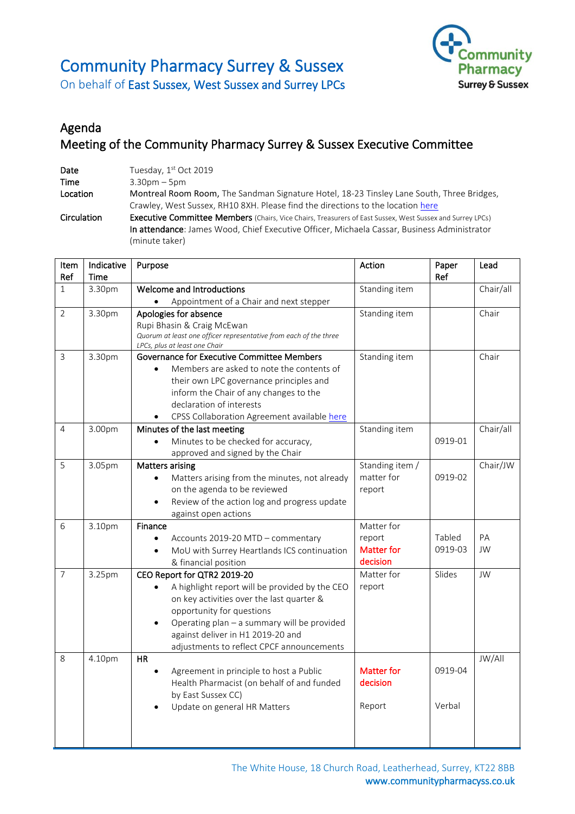# Community Pharmacy Surrey & Sussex



On behalf of East Sussex, West Sussex and Surrey LPCs

## Agenda Meeting of the Community Pharmacy Surrey & Sussex Executive Committee

| Date        | Tuesday, 1st Oct 2019                                                                                            |
|-------------|------------------------------------------------------------------------------------------------------------------|
| <b>Time</b> | $3.30pm - 5pm$                                                                                                   |
| Location    | Montreal Room Room, The Sandman Signature Hotel, 18-23 Tinsley Lane South, Three Bridges,                        |
|             | Crawley, West Sussex, RH10 8XH. Please find the directions to the location here                                  |
| Circulation | <b>Executive Committee Members</b> (Chairs, Vice Chairs, Treasurers of East Sussex, West Sussex and Surrey LPCs) |
|             | In attendance: James Wood, Chief Executive Officer, Michaela Cassar, Business Administrator                      |
|             | (minute taker)                                                                                                   |

| Item<br>Ref    | Indicative<br><b>Time</b> | Purpose                                                                                            | Action                      | Paper<br>Ref      | Lead      |
|----------------|---------------------------|----------------------------------------------------------------------------------------------------|-----------------------------|-------------------|-----------|
| $\mathbf{1}$   | 3.30pm                    | Welcome and Introductions                                                                          | Standing item               |                   | Chair/all |
|                |                           | Appointment of a Chair and next stepper<br>$\bullet$                                               |                             |                   |           |
| $\overline{2}$ | 3.30pm                    | Apologies for absence                                                                              | Standing item               |                   | Chair     |
|                |                           | Rupi Bhasin & Craig McEwan                                                                         |                             |                   |           |
|                |                           | Quorum at least one officer representative from each of the three<br>LPCs, plus at least one Chair |                             |                   |           |
| 3              | 3.30pm                    | Governance for Executive Committee Members                                                         | Standing item               |                   | Chair     |
|                |                           | Members are asked to note the contents of<br>$\bullet$                                             |                             |                   |           |
|                |                           | their own LPC governance principles and                                                            |                             |                   |           |
|                |                           | inform the Chair of any changes to the                                                             |                             |                   |           |
|                |                           | declaration of interests                                                                           |                             |                   |           |
|                |                           | CPSS Collaboration Agreement available here<br>$\bullet$                                           |                             |                   |           |
| 4              | 3.00pm                    | Minutes of the last meeting                                                                        | Standing item               |                   | Chair/all |
|                |                           | Minutes to be checked for accuracy,                                                                |                             | 0919-01           |           |
|                |                           | approved and signed by the Chair                                                                   |                             |                   |           |
| 5              | 3.05pm                    | <b>Matters arising</b>                                                                             | Standing item /             |                   | Chair/JW  |
|                |                           | Matters arising from the minutes, not already<br>$\bullet$                                         | matter for                  | 0919-02           |           |
|                |                           | on the agenda to be reviewed                                                                       | report                      |                   |           |
|                |                           | Review of the action log and progress update                                                       |                             |                   |           |
|                |                           | against open actions                                                                               |                             |                   |           |
| 6              | 3.10pm                    | Finance                                                                                            | Matter for                  |                   |           |
|                |                           | Accounts 2019-20 MTD - commentary<br>$\bullet$                                                     | report<br><b>Matter for</b> | Tabled<br>0919-03 | PA<br>JW  |
|                |                           | MoU with Surrey Heartlands ICS continuation<br>$\bullet$                                           | decision                    |                   |           |
| $\overline{7}$ | 3.25pm                    | & financial position<br>CEO Report for QTR2 2019-20                                                | Matter for                  | Slides            | JW        |
|                |                           | A highlight report will be provided by the CEO                                                     | report                      |                   |           |
|                |                           | on key activities over the last quarter &                                                          |                             |                   |           |
|                |                           | opportunity for questions                                                                          |                             |                   |           |
|                |                           | Operating plan - a summary will be provided                                                        |                             |                   |           |
|                |                           | against deliver in H1 2019-20 and                                                                  |                             |                   |           |
|                |                           | adjustments to reflect CPCF announcements                                                          |                             |                   |           |
| 8              | 4.10pm                    | <b>HR</b>                                                                                          |                             |                   | JW/All    |
|                |                           | Agreement in principle to host a Public                                                            | <b>Matter for</b>           | 0919-04           |           |
|                |                           | Health Pharmacist (on behalf of and funded                                                         | decision                    |                   |           |
|                |                           | by East Sussex CC)                                                                                 |                             |                   |           |
|                |                           | Update on general HR Matters                                                                       | Report                      | Verbal            |           |
|                |                           |                                                                                                    |                             |                   |           |
|                |                           |                                                                                                    |                             |                   |           |
|                |                           |                                                                                                    |                             |                   |           |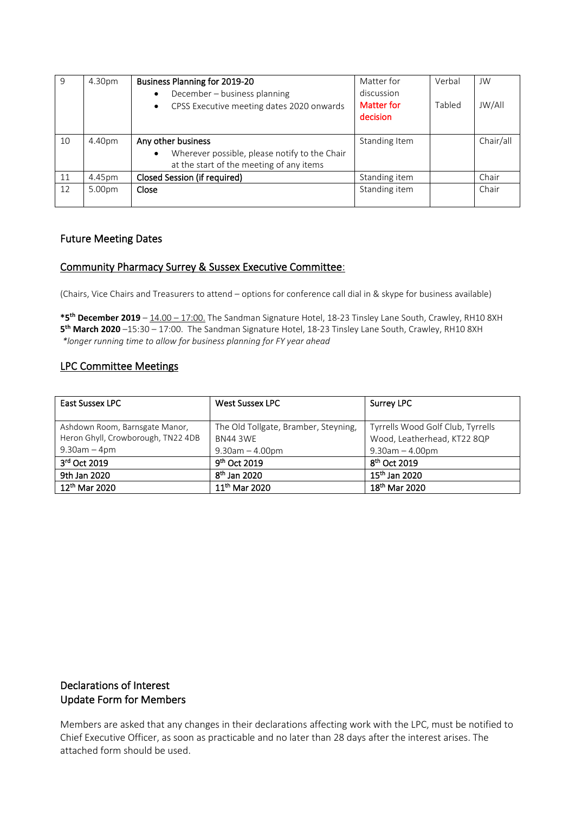| 9  | 4.30pm | <b>Business Planning for 2019-20</b><br>December - business planning<br>$\bullet$<br>CPSS Executive meeting dates 2020 onwards<br>$\bullet$ | Matter for<br>discussion<br>Matter for | Verbal<br>Tabled | JW<br><b>JW/All</b> |
|----|--------|---------------------------------------------------------------------------------------------------------------------------------------------|----------------------------------------|------------------|---------------------|
|    |        |                                                                                                                                             | decision                               |                  |                     |
| 10 | 4.40pm | Any other business                                                                                                                          | Standing Item                          |                  | Chair/all           |
|    |        | Wherever possible, please notify to the Chair<br>$\bullet$                                                                                  |                                        |                  |                     |
|    |        | at the start of the meeting of any items                                                                                                    |                                        |                  |                     |
| 11 | 4.45pm | Closed Session (if required)                                                                                                                | Standing item                          |                  | Chair               |
| 12 | 5.00pm | Close                                                                                                                                       | Standing item                          |                  | Chair               |
|    |        |                                                                                                                                             |                                        |                  |                     |

#### Future Meeting Dates

#### Community Pharmacy Surrey & Sussex Executive Committee:

(Chairs, Vice Chairs and Treasurers to attend – options for conference call dial in & skype for business available)

**\*5 th December 2019** – 14.00 – 17:00. The Sandman Signature Hotel, 18-23 Tinsley Lane South, Crawley, RH10 8XH **5 th March 2020** –15:30 – 17:00. The Sandman Signature Hotel, 18-23 Tinsley Lane South, Crawley, RH10 8XH *\*longer running time to allow for business planning for FY year ahead*

#### LPC Committee Meetings

| <b>East Sussex LPC</b>             | <b>West Sussex LPC</b>               | <b>Surrey LPC</b>                 |
|------------------------------------|--------------------------------------|-----------------------------------|
|                                    |                                      |                                   |
| Ashdown Room, Barnsgate Manor,     | The Old Tollgate, Bramber, Steyning, | Tyrrells Wood Golf Club, Tyrrells |
| Heron Ghyll, Crowborough, TN22 4DB | <b>BN44 3WE</b>                      | Wood, Leatherhead, KT22 8QP       |
| $9.30$ am $-4$ pm                  | $9.30$ am $- 4.00$ pm                | $9.30$ am $-4.00$ pm              |
| 3rd Oct 2019                       | 9 <sup>th</sup> Oct 2019             | $8th$ Oct 2019                    |
| 9th Jan 2020                       | $8th$ Jan 2020                       | $15th$ Jan 2020                   |
| 12 <sup>th</sup> Mar 2020          | 11 <sup>th</sup> Mar 2020            | 18 <sup>th</sup> Mar 2020         |

### Declarations of Interest Update Form for Members

Members are asked that any changes in their declarations affecting work with the LPC, must be notified to Chief Executive Officer, as soon as practicable and no later than 28 days after the interest arises. The attached form should be used.